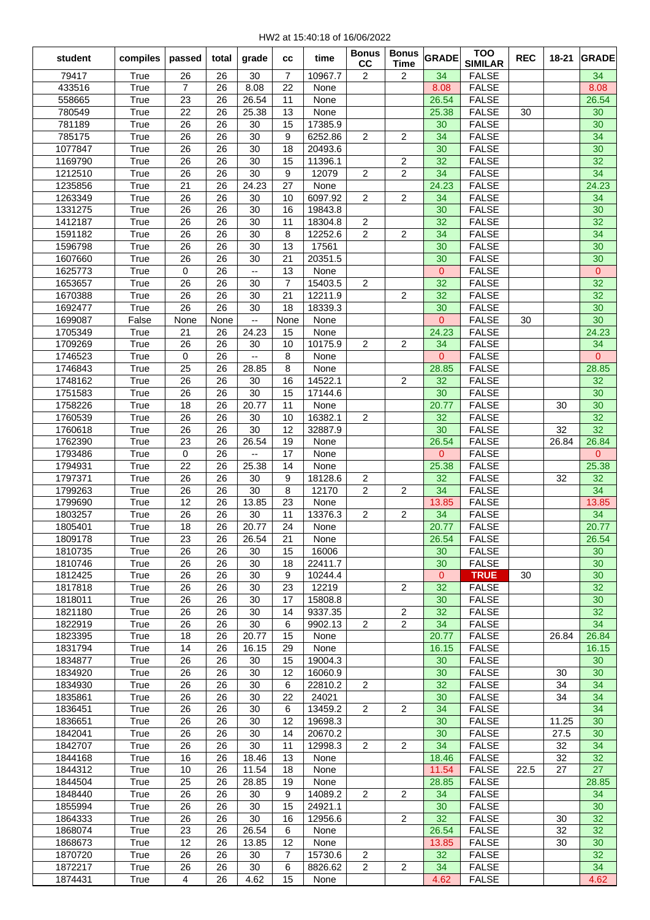| student            | compiles     | passed            | total    | grade                    | <b>CC</b>      | time               | <b>Bonus</b><br>cc | <b>Bonus</b><br><b>Time</b> | <b>GRADE</b>       | <b>TOO</b><br><b>SIMILAR</b> | <b>REC</b> | 18-21    | <b>GRADE</b>         |
|--------------------|--------------|-------------------|----------|--------------------------|----------------|--------------------|--------------------|-----------------------------|--------------------|------------------------------|------------|----------|----------------------|
| 79417              | True         | 26                | 26       | 30                       | 7              | 10967.7            | 2                  | 2                           | 34                 | <b>FALSE</b>                 |            |          | 34                   |
| 433516             | True         | $\overline{7}$    | 26       | 8.08                     | 22             | None               |                    |                             | 8.08               | <b>FALSE</b>                 |            |          | 8.08                 |
| 558665             | True         | 23                | 26       | 26.54                    | 11             | None               |                    |                             | 26.54              | <b>FALSE</b>                 |            |          | 26.54                |
| 780549             | True         | 22                | 26       | 25.38                    | 13             | None               |                    |                             | 25.38              | <b>FALSE</b>                 | 30         |          | 30                   |
| 781189             | True         | 26                | 26       | 30                       | 15             | 17385.9            |                    |                             | 30                 | <b>FALSE</b>                 |            |          | 30                   |
| 785175             | True         | 26                | 26       | 30                       | 9              | 6252.86            | $\overline{2}$     | 2                           | 34                 | <b>FALSE</b>                 |            |          | 34                   |
| 1077847            | True         | 26                | 26       | 30                       | 18             | 20493.6            |                    |                             | 30                 | <b>FALSE</b>                 |            |          | 30                   |
| 1169790            | True         | 26                | 26       | 30                       | 15             | 11396.1            |                    | 2                           | 32                 | <b>FALSE</b>                 |            |          | 32                   |
| 1212510            | True         | 26                | 26       | 30                       | 9              | 12079              | $\overline{c}$     | $\overline{c}$              | 34                 | <b>FALSE</b>                 |            |          | 34                   |
| 1235856            | True         | 21                | 26       | 24.23                    | 27             | None               |                    |                             | 24.23              | <b>FALSE</b>                 |            |          | 24.23                |
| 1263349            | True         | 26                | 26       | 30                       | 10             | 6097.92            | 2                  | $\overline{c}$              | 34                 | <b>FALSE</b>                 |            |          | 34                   |
| 1331275            | True         | 26                | 26       | 30                       | 16             | 19843.8            |                    |                             | 30                 | <b>FALSE</b>                 |            |          | 30                   |
| 1412187            | True         | 26                | 26       | 30                       | 11             | 18304.8            | 2                  |                             | 32                 | <b>FALSE</b>                 |            |          | 32                   |
| 1591182            | True         | 26                | 26       | 30                       | 8              | 12252.6            | 2                  | 2                           | 34                 | <b>FALSE</b>                 |            |          | 34                   |
| 1596798            | True         | 26                | 26<br>26 | 30<br>30                 | 13             | 17561              |                    |                             | 30                 | <b>FALSE</b>                 |            |          | 30                   |
| 1607660<br>1625773 | True<br>True | 26<br>$\mathbf 0$ | 26       | $\overline{\phantom{a}}$ | 21<br>13       | 20351.5<br>None    |                    |                             | 30<br>$\mathbf{0}$ | <b>FALSE</b><br><b>FALSE</b> |            |          | 30<br>$\overline{0}$ |
| 1653657            | True         | 26                | 26       | 30                       | $\overline{7}$ | 15403.5            | 2                  |                             | 32                 | <b>FALSE</b>                 |            |          | 32                   |
| 1670388            | True         | 26                | 26       | 30                       | 21             | 12211.9            |                    | $\overline{2}$              | 32                 | <b>FALSE</b>                 |            |          | 32                   |
| 1692477            | True         | 26                | 26       | 30                       | 18             | 18339.3            |                    |                             | 30                 | <b>FALSE</b>                 |            |          | 30                   |
| 1699087            | False        | None              | None     | --                       | None           | None               |                    |                             | $\overline{0}$     | <b>FALSE</b>                 | 30         |          | 30                   |
| 1705349            | True         | 21                | 26       | 24.23                    | 15             | None               |                    |                             | 24.23              | <b>FALSE</b>                 |            |          | 24.23                |
| 1709269            | True         | 26                | 26       | 30                       | 10             | 10175.9            | 2                  | 2                           | 34                 | <b>FALSE</b>                 |            |          | 34                   |
| 1746523            | True         | $\mathbf 0$       | 26       | $\overline{a}$           | 8              | None               |                    |                             | $\overline{0}$     | <b>FALSE</b>                 |            |          | $\overline{0}$       |
| 1746843            | True         | 25                | 26       | 28.85                    | 8              | None               |                    |                             | 28.85              | <b>FALSE</b>                 |            |          | 28.85                |
| 1748162            | True         | 26                | 26       | 30                       | 16             | 14522.1            |                    | $\overline{c}$              | 32                 | <b>FALSE</b>                 |            |          | 32                   |
| 1751583            | True         | 26                | 26       | 30                       | 15             | 17144.6            |                    |                             | 30                 | <b>FALSE</b>                 |            |          | 30                   |
| 1758226            | True         | 18                | 26       | 20.77                    | 11             | None               |                    |                             | 20.77              | <b>FALSE</b>                 |            | 30       | 30                   |
| 1760539            | True         | 26                | 26       | 30                       | 10             | 16382.1            | 2                  |                             | 32                 | <b>FALSE</b>                 |            |          | 32                   |
| 1760618            | True         | 26                | 26       | 30                       | 12             | 32887.9            |                    |                             | 30                 | <b>FALSE</b>                 |            | 32       | 32                   |
| 1762390            | True         | 23                | 26       | 26.54                    | 19             | None               |                    |                             | 26.54              | <b>FALSE</b>                 |            | 26.84    | 26.84                |
| 1793486            | True         | 0                 | 26       | $\overline{a}$           | 17             | None               |                    |                             | 0                  | <b>FALSE</b>                 |            |          | $\mathbf{0}$         |
| 1794931            | True         | 22                | 26       | 25.38                    | 14             | None               |                    |                             | 25.38              | <b>FALSE</b>                 |            |          | 25.38                |
| 1797371            | True         | 26                | 26       | 30                       | 9              | 18128.6            | 2                  |                             | 32                 | <b>FALSE</b>                 |            | 32       | 32                   |
| 1799263            | True         | 26<br>12          | 26<br>26 | 30<br>13.85              | 8<br>23        | 12170<br>None      | 2                  | 2                           | 34                 | <b>FALSE</b>                 |            |          | 34<br>13.85          |
| 1799690<br>1803257 | True<br>True | 26                | 26       | 30                       | 11             | 13376.3            | 2                  | 2                           | 13.85<br>34        | <b>FALSE</b><br><b>FALSE</b> |            |          | 34                   |
| 1805401            | True         | 18                | 26       | 20.77                    | 24             | None               |                    |                             | 20.77              | <b>FALSE</b>                 |            |          | 20.77                |
| 1809178            | True         | 23                | 26       | 26.54                    | 21             | None               |                    |                             | 26.54              | <b>FALSE</b>                 |            |          | 26.54                |
| 1810735            | True         | 26                | 26       | 30                       | 15             | 16006              |                    |                             | 30                 | <b>FALSE</b>                 |            |          | 30                   |
| 1810746            | True         | 26                | 26       | 30                       | 18             | 22411.7            |                    |                             | 30                 | <b>FALSE</b>                 |            |          | 30                   |
| 1812425            | True         | 26                | 26       | 30                       | 9              | 10244.4            |                    |                             | $\mathbf{0}$       | <b>TRUE</b>                  | 30         |          | 30                   |
| 1817818            | True         | 26                | 26       | 30                       | 23             | 12219              |                    | 2                           | 32                 | <b>FALSE</b>                 |            |          | 32                   |
| 1818011            | True         | 26                | 26       | 30                       | 17             | 15808.8            |                    |                             | 30                 | <b>FALSE</b>                 |            |          | 30                   |
| 1821180            | True         | 26                | 26       | 30                       | 14             | 9337.35            |                    | 2                           | 32                 | <b>FALSE</b>                 |            |          | 32                   |
| 1822919            | True         | 26                | 26       | 30                       | 6              | 9902.13            | $\overline{2}$     | $\overline{c}$              | 34                 | <b>FALSE</b>                 |            |          | 34                   |
| 1823395            | True         | 18                | 26       | 20.77                    | 15             | None               |                    |                             | 20.77              | <b>FALSE</b>                 |            | 26.84    | 26.84                |
| 1831794            | True         | 14                | 26       | 16.15                    | 29             | None               |                    |                             | 16.15              | <b>FALSE</b>                 |            |          | 16.15                |
| 1834877            | True         | 26                | 26       | 30                       | 15             | 19004.3            |                    |                             | 30                 | <b>FALSE</b>                 |            |          | 30                   |
| 1834920<br>1834930 | True<br>True | 26<br>26          | 26<br>26 | 30<br>30                 | 12<br>6        | 16060.9<br>22810.2 | $\overline{c}$     |                             | 30<br>32           | <b>FALSE</b><br><b>FALSE</b> |            | 30<br>34 | 30<br>34             |
| 1835861            | True         | 26                | 26       | 30                       | 22             | 24021              |                    |                             | 30                 | <b>FALSE</b>                 |            | 34       | 34                   |
| 1836451            | True         | 26                | 26       | 30                       | 6              | 13459.2            | $\overline{2}$     | 2                           | 34                 | <b>FALSE</b>                 |            |          | 34                   |
| 1836651            | True         | 26                | 26       | 30                       | 12             | 19698.3            |                    |                             | 30                 | <b>FALSE</b>                 |            | 11.25    | 30                   |
| 1842041            | True         | 26                | 26       | 30                       | 14             | 20670.2            |                    |                             | 30                 | <b>FALSE</b>                 |            | 27.5     | 30                   |
| 1842707            | True         | 26                | 26       | 30                       | 11             | 12998.3            | $\overline{2}$     | $\overline{2}$              | 34                 | <b>FALSE</b>                 |            | 32       | 34                   |
| 1844168            | True         | 16                | 26       | 18.46                    | 13             | None               |                    |                             | 18.46              | <b>FALSE</b>                 |            | 32       | 32                   |
| 1844312            | True         | 10                | 26       | 11.54                    | 18             | None               |                    |                             | 11.54              | <b>FALSE</b>                 | 22.5       | 27       | 27                   |
| 1844504            | True         | 25                | 26       | 28.85                    | 19             | None               |                    |                             | 28.85              | <b>FALSE</b>                 |            |          | 28.85                |
| 1848440            | True         | 26                | 26       | 30                       | 9              | 14089.2            | $\overline{2}$     | $\overline{2}$              | 34                 | <b>FALSE</b>                 |            |          | 34                   |
| 1855994            | True         | 26                | 26       | 30                       | 15             | 24921.1            |                    |                             | 30                 | <b>FALSE</b>                 |            |          | 30                   |
| 1864333            | True         | 26                | 26       | 30                       | 16             | 12956.6            |                    | $\overline{2}$              | 32                 | <b>FALSE</b>                 |            | 30       | 32                   |
| 1868074            | True         | 23                | 26       | 26.54                    | 6              | None               |                    |                             | 26.54              | <b>FALSE</b>                 |            | 32       | 32                   |
| 1868673<br>1870720 | True<br>True | 12<br>26          | 26<br>26 | 13.85<br>30              | 12<br>7        | None<br>15730.6    | $\overline{c}$     |                             | 13.85<br>32        | <b>FALSE</b><br><b>FALSE</b> |            | 30       | 30<br>32             |
| 1872217            | True         | 26                | 26       | 30                       | 6              | 8826.62            | $\overline{2}$     | 2                           | 34                 | <b>FALSE</b>                 |            |          | 34                   |
| 1874431            | True         | $\overline{4}$    | 26       | 4.62                     | 15             | None               |                    |                             | 4.62               | <b>FALSE</b>                 |            |          | 4.62                 |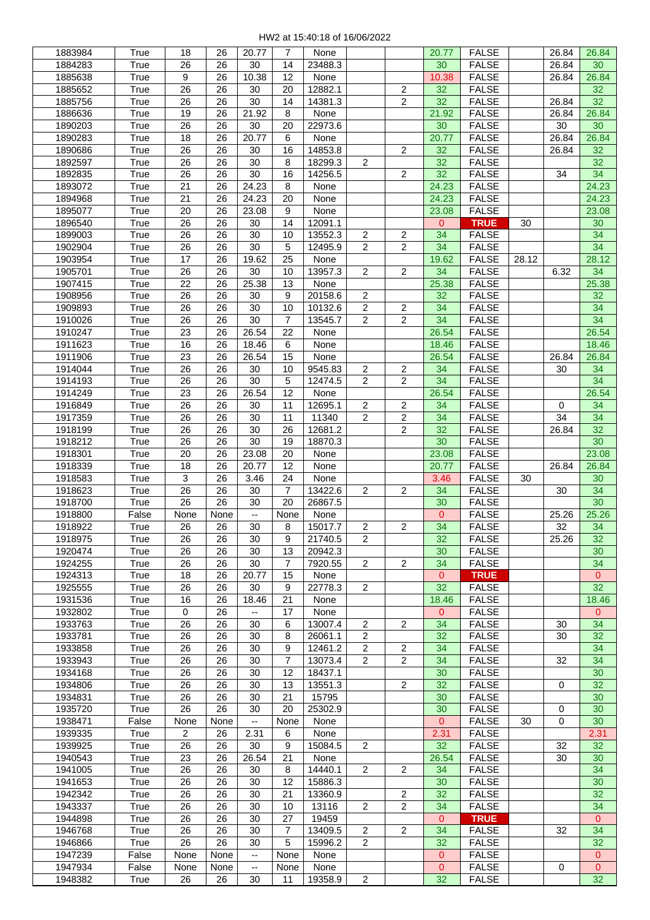| 1883984            | True          | 18          | 26         | 20.77                          | 7              | None            |                |                         | 20.77              | <b>FALSE</b>                 |       | 26.84       | 26.84                |
|--------------------|---------------|-------------|------------|--------------------------------|----------------|-----------------|----------------|-------------------------|--------------------|------------------------------|-------|-------------|----------------------|
| 1884283            | True          | 26          | 26         | 30                             | 14             | 23488.3         |                |                         | 30                 | <b>FALSE</b>                 |       | 26.84       | 30                   |
| 1885638            | True          | 9           | 26         | 10.38                          | 12             | None            |                |                         | 10.38              | <b>FALSE</b>                 |       | 26.84       | 26.84                |
| 1885652            | True          | 26          | 26         | 30                             | 20             | 12882.1         |                | $\mathbf{2}$            | 32                 | <b>FALSE</b>                 |       |             | 32                   |
| 1885756            | True          | 26          | 26         | 30                             | 14             | 14381.3         |                | $\overline{c}$          | 32                 | <b>FALSE</b>                 |       | 26.84       | 32                   |
|                    |               | 19          |            | 21.92                          | 8              |                 |                |                         |                    |                              |       |             |                      |
| 1886636            | True          |             | 26         |                                |                | None            |                |                         | 21.92              | <b>FALSE</b>                 |       | 26.84       | 26.84                |
| 1890203            | True          | 26          | 26         | 30                             | 20             | 22973.6         |                |                         | 30                 | <b>FALSE</b>                 |       | 30          | 30                   |
| 1890283            | True          | 18          | 26         | 20.77                          | 6              | None            |                |                         | 20.77              | <b>FALSE</b>                 |       | 26.84       | 26.84                |
| 1890686            | True          | 26          | 26         | 30                             | 16             | 14853.8         |                | $\overline{c}$          | 32                 | <b>FALSE</b>                 |       | 26.84       | 32                   |
| 1892597            | True          | 26          | 26         | 30                             | 8              | 18299.3         | 2              |                         | 32                 | <b>FALSE</b>                 |       |             | 32                   |
| 1892835            | True          | 26          | 26         | 30                             | 16             | 14256.5         |                | $\overline{c}$          | 32                 | <b>FALSE</b>                 |       | 34          | 34                   |
| 1893072            | True          | 21          | 26         | 24.23                          | 8              | None            |                |                         | 24.23              | <b>FALSE</b>                 |       |             | 24.23                |
| 1894968            | True          | 21          | 26         | 24.23                          | 20             | None            |                |                         | 24.23              | <b>FALSE</b>                 |       |             | 24.23                |
|                    |               |             |            |                                | 9              |                 |                |                         |                    |                              |       |             |                      |
| 1895077            | True          | 20          | 26         | 23.08                          |                | None            |                |                         | 23.08              | <b>FALSE</b>                 |       |             | 23.08                |
| 1896540            | True          | 26          | 26         | 30                             | 14             | 12091.1         |                |                         | 0                  | <b>TRUE</b>                  | 30    |             | 30                   |
| 1899003            | True          | 26          | 26         | 30                             | 10             | 13552.3         | 2              | 2                       | 34                 | <b>FALSE</b>                 |       |             | 34                   |
| 1902904            | True          | 26          | 26         | 30                             | 5              | 12495.9         | $\mathbf{2}$   | $\overline{c}$          | 34                 | <b>FALSE</b>                 |       |             | 34                   |
| 1903954            | True          | 17          | 26         | 19.62                          | 25             | None            |                |                         | 19.62              | <b>FALSE</b>                 | 28.12 |             | 28.12                |
| 1905701            | True          | 26          | 26         | 30                             | 10             | 13957.3         | $\overline{2}$ | $\overline{c}$          | 34                 | <b>FALSE</b>                 |       | 6.32        | 34                   |
| 1907415            | True          | 22          | 26         | 25.38                          | 13             | None            |                |                         | 25.38              | <b>FALSE</b>                 |       |             | 25.38                |
| 1908956            | True          | 26          | 26         | 30                             | 9              | 20158.6         | $\overline{2}$ |                         | 32                 | <b>FALSE</b>                 |       |             | 32                   |
| 1909893            |               | 26          | 26         | 30                             | 10             | 10132.6         | $\overline{c}$ |                         | 34                 | <b>FALSE</b>                 |       |             | 34                   |
|                    | True          |             |            |                                |                |                 |                | 2                       |                    |                              |       |             |                      |
| 1910026            | True          | 26          | 26         | 30                             | 7              | 13545.7         | $\overline{2}$ | 2                       | 34                 | <b>FALSE</b>                 |       |             | 34                   |
| 1910247            | True          | 23          | 26         | 26.54                          | 22             | None            |                |                         | 26.54              | <b>FALSE</b>                 |       |             | 26.54                |
| 1911623            | True          | 16          | 26         | 18.46                          | 6              | None            |                |                         | 18.46              | <b>FALSE</b>                 |       |             | 18.46                |
| 1911906            | True          | 23          | 26         | 26.54                          | 15             | None            |                |                         | 26.54              | <b>FALSE</b>                 |       | 26.84       | 26.84                |
| 1914044            | True          | 26          | 26         | 30                             | 10             | 9545.83         | $\overline{c}$ | 2                       | 34                 | <b>FALSE</b>                 |       | 30          | 34                   |
| 1914193            | True          | 26          | 26         | 30                             | 5              | 12474.5         | $\overline{2}$ | $\overline{2}$          | 34                 | <b>FALSE</b>                 |       |             | 34                   |
| 1914249            | True          | 23          | 26         | 26.54                          | 12             | None            |                |                         | 26.54              | <b>FALSE</b>                 |       |             | 26.54                |
|                    | True          | 26          | 26         | 30                             | 11             | 12695.1         | $\mathbf{2}$   | 2                       | 34                 |                              |       | 0           | 34                   |
| 1916849            |               |             |            |                                |                |                 |                |                         |                    | <b>FALSE</b>                 |       |             |                      |
| 1917359            | True          | 26          | 26         | 30                             | 11             | 11340           | $\mathbf{2}$   | $\overline{\mathbf{c}}$ | 34                 | <b>FALSE</b>                 |       | 34          | 34                   |
| 1918199            | True          | 26          | 26         | 30                             | 26             | 12681.2         |                | $\overline{c}$          | 32                 | <b>FALSE</b>                 |       | 26.84       | 32                   |
| 1918212            | True          | 26          | 26         | 30                             | 19             | 18870.3         |                |                         | 30                 | <b>FALSE</b>                 |       |             | 30                   |
| 1918301            | True          | 20          | 26         | 23.08                          | 20             | None            |                |                         | 23.08              | <b>FALSE</b>                 |       |             | 23.08                |
| 1918339            | True          | 18          | 26         | 20.77                          | 12             | None            |                |                         | 20.77              | <b>FALSE</b>                 |       | 26.84       | 26.84                |
| 1918583            | True          | 3           | 26         | 3.46                           | 24             | None            |                |                         | 3.46               | <b>FALSE</b>                 | 30    |             | 30                   |
| 1918623            | True          | 26          | 26         | 30                             | 7              | 13422.6         | $\overline{2}$ | 2                       | 34                 | <b>FALSE</b>                 |       | 30          | 34                   |
| 1918700            | True          | 26          | 26         | 30                             | 20             | 26867.5         |                |                         | 30                 | <b>FALSE</b>                 |       |             | 30                   |
|                    |               | None        |            |                                |                |                 |                |                         | $\overline{0}$     |                              |       |             |                      |
| 1918800            | False         |             | None       | $\overline{\phantom{a}}$       | None           | None            |                |                         |                    | <b>FALSE</b>                 |       | 25.26       | 25.26                |
| 1918922            | True          | 26          | 26         | 30                             | 8              | 15017.7         | $\overline{2}$ | $\overline{2}$          | 34                 | <b>FALSE</b>                 |       | 32          | 34                   |
| 1918975            | True          | 26          | 26         | 30                             | 9              | 21740.5         | $\overline{2}$ |                         | 32                 | <b>FALSE</b>                 |       | 25.26       | 32                   |
| 1920474            | True          | 26          | 26         | 30                             | 13             | 20942.3         |                |                         | 30                 | <b>FALSE</b>                 |       |             | 30                   |
| 1924255            | True          | 26          | 26         | 30                             | 7              | 7920.55         | $\overline{2}$ | 2                       | 34                 | <b>FALSE</b>                 |       |             | 34                   |
| 1924313            | True          | 18          | 26         | 20.77                          | 15             | None            |                |                         | 0                  |                              |       |             | $\mathbf{0}$         |
| 1925555            | True          | 26          | 26         | 30                             | 9              | 22778.3         |                |                         |                    | <b>TRUE</b>                  |       |             |                      |
| 1931536            | True          | 16          | 26         |                                |                |                 | $\overline{2}$ |                         |                    |                              |       |             |                      |
| 1932802            |               |             |            |                                |                |                 |                |                         | 32                 | <b>FALSE</b>                 |       |             | 32                   |
|                    |               |             |            | 18.46                          | 21             | None            |                |                         | 18.46              | <b>FALSE</b>                 |       |             | 18.46                |
|                    | True          | $\mathbf 0$ | 26         |                                | 17             | None            |                |                         | 0                  | <b>FALSE</b>                 |       |             | $\mathbf{0}$         |
| 1933763            | True          | 26          | 26         | 30                             | 6              | 13007.4         | $\overline{2}$ | $\overline{2}$          | 34                 | <b>FALSE</b>                 |       | 30          | 34                   |
| 1933781            | True          | 26          | 26         | 30                             | 8              | 26061.1         | $\overline{2}$ |                         | 32                 | <b>FALSE</b>                 |       | 30          | 32                   |
| 1933858            | True          | 26          | 26         | 30                             | 9              | 12461.2         | $\overline{2}$ | 2                       | 34                 | <b>FALSE</b>                 |       |             | 34                   |
| 1933943            | True          | 26          | 26         | 30                             | $\overline{7}$ | 13073.4         | $\overline{2}$ | 2                       | 34                 | <b>FALSE</b>                 |       | 32          | 34                   |
| 1934168            | True          | 26          | 26         | 30                             | 12             | 18437.1         |                |                         | 30                 | <b>FALSE</b>                 |       |             | 30                   |
| 1934806            | True          | 26          | 26         | 30                             | 13             | 13551.3         |                | 2                       | 32                 | <b>FALSE</b>                 |       | $\mathbf 0$ | 32                   |
| 1934831            | True          | 26          | 26         | 30                             | 21             | 15795           |                |                         | 30                 | <b>FALSE</b>                 |       |             | 30                   |
|                    | True          |             |            | 30                             | 20             | 25302.9         |                |                         |                    | <b>FALSE</b>                 |       | 0           |                      |
| 1935720            |               | 26          | 26         | $\overline{\phantom{a}}$       |                |                 |                |                         | 30<br>$\mathbf{0}$ |                              |       | 0           | 30                   |
| 1938471            | False         | None        | None       |                                | None           | None            |                |                         |                    | <b>FALSE</b>                 | 30    |             | 30                   |
| 1939335            | True          | $\sqrt{2}$  | 26         | 2.31                           | 6              | None            |                |                         | 2.31               | <b>FALSE</b>                 |       |             | 2.31                 |
| 1939925            | True          | 26          | 26         | 30                             | 9              | 15084.5         | $\overline{c}$ |                         | 32                 | <b>FALSE</b>                 |       | 32          | 32                   |
| 1940543            | True          | 23          | 26         | 26.54                          | 21             | None            |                |                         | 26.54              | <b>FALSE</b>                 |       | 30          | 30                   |
| 1941005            | True          | 26          | 26         | 30                             | 8              | 14440.1         | $\overline{2}$ | 2                       | 34                 | <b>FALSE</b>                 |       |             | 34                   |
| 1941653            | True          | 26          | 26         | 30                             | 12             | 15886.3         |                |                         | 30                 | <b>FALSE</b>                 |       |             | 30                   |
| 1942342            | True          | 26          | 26         | 30                             | 21             | 13360.9         |                | $\overline{c}$          | 32                 | <b>FALSE</b>                 |       |             | 32                   |
| 1943337            | True          | 26          | 26         | 30                             | 10             | 13116           | $\overline{2}$ | $\overline{c}$          | 34                 | <b>FALSE</b>                 |       |             | 34                   |
| 1944898            | True          | 26          | 26         | 30                             | 27             | 19459           |                |                         | 0                  | <b>TRUE</b>                  |       |             | $\mathbf{0}$         |
|                    |               |             |            |                                | 7              | 13409.5         |                |                         |                    |                              |       | 32          |                      |
| 1946768            | True          | 26          | 26         | 30                             |                |                 | $\overline{2}$ | 2                       | 34                 | <b>FALSE</b>                 |       |             | 34                   |
| 1946866            | True          | 26          | 26         | 30                             | 5              | 15996.2         | 2              |                         | 32                 | <b>FALSE</b>                 |       |             | 32                   |
| 1947239            | False         | None        | None       | $\overline{\phantom{a}}$       | None           | None            |                |                         | 0                  | <b>FALSE</b>                 |       |             | $\mathbf{0}$         |
| 1947934<br>1948382 | False<br>True | None<br>26  | None<br>26 | $\overline{\phantom{m}}$<br>30 | None<br>11     | None<br>19358.9 | $\overline{2}$ |                         | $\mathbf{0}$<br>32 | <b>FALSE</b><br><b>FALSE</b> |       | 0           | $\overline{0}$<br>32 |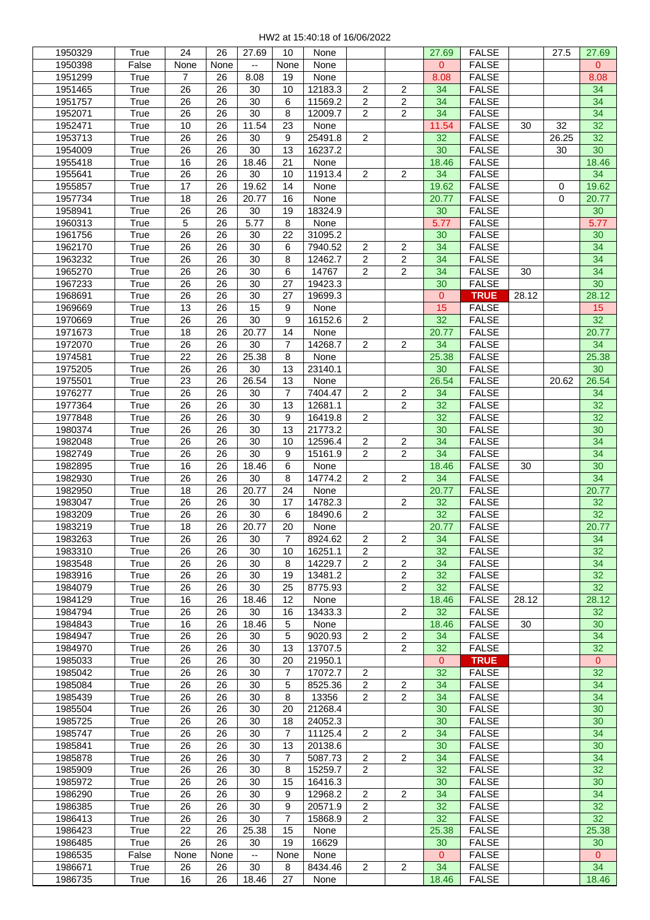| 1950329 | True  | 24              | 26   | 27.69 | 10             |         |                |                | 27.69        | <b>FALSE</b> |       | 27.5  | 27.69          |
|---------|-------|-----------------|------|-------|----------------|---------|----------------|----------------|--------------|--------------|-------|-------|----------------|
|         |       |                 |      |       |                | None    |                |                |              |              |       |       |                |
| 1950398 | False | None            | None | --    | None           | None    |                |                | $\mathbf{0}$ | <b>FALSE</b> |       |       | 0              |
| 1951299 | True  | 7               | 26   | 8.08  | 19             | None    |                |                | 8.08         | <b>FALSE</b> |       |       | 8.08           |
| 1951465 | True  | 26              | 26   | 30    | 10             | 12183.3 | $\overline{c}$ | $\mathbf{2}$   | 34           | <b>FALSE</b> |       |       | 34             |
| 1951757 | True  | 26              | 26   | 30    | 6              | 11569.2 | $\overline{2}$ | $\overline{c}$ | 34           | <b>FALSE</b> |       |       | 34             |
|         |       |                 |      |       |                |         |                |                |              |              |       |       |                |
| 1952071 | True  | 26              | 26   | 30    | 8              | 12009.7 | $\overline{2}$ | $\overline{c}$ | 34           | <b>FALSE</b> |       |       | 34             |
| 1952471 | True  | 10              | 26   | 11.54 | 23             | None    |                |                | 11.54        | <b>FALSE</b> | 30    | 32    | 32             |
| 1953713 | True  | 26              | 26   | 30    | 9              | 25491.8 | $\overline{2}$ |                | 32           | <b>FALSE</b> |       | 26.25 | 32             |
| 1954009 | True  | 26              | 26   | 30    | 13             | 16237.2 |                |                | 30           | <b>FALSE</b> |       | 30    | 30             |
|         |       |                 |      |       |                |         |                |                |              |              |       |       |                |
| 1955418 | True  | 16              | 26   | 18.46 | 21             | None    |                |                | 18.46        | <b>FALSE</b> |       |       | 18.46          |
| 1955641 | True  | 26              | 26   | 30    | 10             | 11913.4 | 2              | $\overline{c}$ | 34           | <b>FALSE</b> |       |       | 34             |
| 1955857 | True  | 17              | 26   | 19.62 | 14             | None    |                |                | 19.62        | <b>FALSE</b> |       | 0     | 19.62          |
| 1957734 | True  | 18              | 26   | 20.77 | 16             | None    |                |                | 20.77        | <b>FALSE</b> |       | 0     | 20.77          |
|         |       | 26              | 26   | 30    | 19             | 18324.9 |                |                |              | <b>FALSE</b> |       |       | 30             |
| 1958941 | True  |                 |      |       |                |         |                |                | 30           |              |       |       |                |
| 1960313 | True  | 5               | 26   | 5.77  | 8              | None    |                |                | 5.77         | <b>FALSE</b> |       |       | 5.77           |
| 1961756 | True  | 26              | 26   | 30    | 22             | 31095.2 |                |                | 30           | <b>FALSE</b> |       |       | 30             |
| 1962170 | True  | 26              | 26   | 30    | 6              | 7940.52 | $\mathbf{2}$   | 2              | 34           | <b>FALSE</b> |       |       | 34             |
| 1963232 | True  | 26              | 26   | 30    | 8              | 12462.7 | $\overline{2}$ | $\overline{c}$ | 34           | <b>FALSE</b> |       |       | 34             |
|         |       |                 |      |       |                |         |                |                |              |              |       |       |                |
| 1965270 | True  | 26              | 26   | 30    | 6              | 14767   | $\overline{2}$ | $\overline{c}$ | 34           | <b>FALSE</b> | 30    |       | 34             |
| 1967233 | True  | 26              | 26   | 30    | 27             | 19423.3 |                |                | 30           | <b>FALSE</b> |       |       | 30             |
| 1968691 | True  | 26              | 26   | 30    | 27             | 19699.3 |                |                | 0            | <b>TRUE</b>  | 28.12 |       | 28.12          |
| 1969669 | True  | 13              | 26   | 15    | 9              | None    |                |                | 15           | <b>FALSE</b> |       |       | 15             |
|         |       |                 |      |       |                |         |                |                |              |              |       |       |                |
| 1970669 | True  | 26              | 26   | 30    | 9              | 16152.6 | $\mathbf{2}$   |                | 32           | <b>FALSE</b> |       |       | 32             |
| 1971673 | True  | 18              | 26   | 20.77 | 14             | None    |                |                | 20.77        | <b>FALSE</b> |       |       | 20.77          |
| 1972070 | True  | $\overline{26}$ | 26   | 30    | 7              | 14268.7 | 2              | 2              | 34           | <b>FALSE</b> |       |       | 34             |
| 1974581 | True  | 22              | 26   | 25.38 | 8              | None    |                |                | 25.38        | <b>FALSE</b> |       |       | 25.38          |
|         |       |                 |      |       |                |         |                |                |              |              |       |       |                |
| 1975205 | True  | 26              | 26   | 30    | 13             | 23140.1 |                |                | 30           | <b>FALSE</b> |       |       | 30             |
| 1975501 | True  | 23              | 26   | 26.54 | 13             | None    |                |                | 26.54        | <b>FALSE</b> |       | 20.62 | 26.54          |
| 1976277 | True  | 26              | 26   | 30    | 7              | 7404.47 | $\overline{2}$ | 2              | 34           | <b>FALSE</b> |       |       | 34             |
| 1977364 | True  | 26              | 26   | 30    | 13             | 12681.1 |                | 2              | 32           | <b>FALSE</b> |       |       | 32             |
|         |       | 26              | 26   | 30    | 9              |         | $\overline{c}$ |                | 32           |              |       |       | 32             |
| 1977848 | True  |                 |      |       |                | 16419.8 |                |                |              | <b>FALSE</b> |       |       |                |
| 1980374 | True  | 26              | 26   | 30    | 13             | 21773.2 |                |                | 30           | <b>FALSE</b> |       |       | 30             |
| 1982048 | True  | 26              | 26   | 30    | 10             | 12596.4 | $\overline{2}$ | $\overline{c}$ | 34           | <b>FALSE</b> |       |       | 34             |
| 1982749 | True  | 26              | 26   | 30    | 9              | 15161.9 | $\overline{2}$ | $\overline{c}$ | 34           | <b>FALSE</b> |       |       | 34             |
| 1982895 | True  | 16              | 26   | 18.46 | 6              | None    |                |                | 18.46        | <b>FALSE</b> | 30    |       | 30             |
|         |       |                 |      |       |                |         |                |                |              |              |       |       |                |
| 1982930 | True  | 26              | 26   | 30    | 8              | 14774.2 | $\overline{2}$ | 2              | 34           | <b>FALSE</b> |       |       | 34             |
| 1982950 | True  | 18              | 26   | 20.77 | 24             | None    |                |                | 20.77        | <b>FALSE</b> |       |       | 20.77          |
| 1983047 | True  | 26              | 26   | 30    | 17             | 14782.3 |                | $\overline{c}$ | 32           | <b>FALSE</b> |       |       | 32             |
| 1983209 | True  | 26              | 26   | 30    | 6              | 18490.6 | $\overline{2}$ |                | 32           | <b>FALSE</b> |       |       | 32             |
|         |       |                 |      |       |                |         |                |                |              |              |       |       |                |
| 1983219 | True  | 18              | 26   | 20.77 | 20             | None    |                |                | 20.77        | <b>FALSE</b> |       |       | 20.77          |
| 1983263 | True  | 26              | 26   | 30    | 7              | 8924.62 | $\overline{2}$ | 2              | 34           | <b>FALSE</b> |       |       | 34             |
| 1983310 | True  | 26              | 26   | 30    | 10             | 16251.1 | $\overline{2}$ |                | 32           | <b>FALSE</b> |       |       | 32             |
| 1983548 | True  | 26              | 26   | 30    | 8              | 14229.7 | $\overline{2}$ | $\overline{2}$ | 34           | <b>FALSE</b> |       |       | 34             |
|         | True  | 26              | 26   | 30    | 19             | 13481.2 |                |                | 32           |              |       |       | 32             |
| 1983916 |       |                 |      |       |                |         |                | 2              |              | <b>FALSE</b> |       |       |                |
| 1984079 | True  | 26              | 26   | 30    | 25             | 8775.93 |                | 2              | 32           | <b>FALSE</b> |       |       | 32             |
| 1984129 | True  | 16              | 26   | 18.46 | 12             | None    |                |                | 18.46        | <b>FALSE</b> | 28.12 |       | 28.12          |
| 1984794 | True  | 26              | 26   | 30    | 16             | 13433.3 |                | $\overline{c}$ | 32           | <b>FALSE</b> |       |       | 32             |
| 1984843 | True  | 16              | 26   | 18.46 | 5              | None    |                |                | 18.46        | <b>FALSE</b> | 30    |       | 30             |
|         |       |                 |      |       |                |         |                |                |              |              |       |       |                |
| 1984947 | True  | 26              | 26   | 30    | 5              | 9020.93 | $\overline{2}$ | $\mathbf{2}$   | 34           | <b>FALSE</b> |       |       | 34             |
| 1984970 | True  | 26              | 26   | 30    | 13             | 13707.5 |                | 2              | 32           | <b>FALSE</b> |       |       | 32             |
| 1985033 | True  | 26              | 26   | 30    | 20             | 21950.1 |                |                | 0            | <b>TRUE</b>  |       |       | $\mathbf{0}$   |
| 1985042 | True  | 26              | 26   | 30    | $\overline{7}$ | 17072.7 | $\overline{2}$ |                | 32           | <b>FALSE</b> |       |       | 32             |
|         |       |                 |      |       |                |         |                |                |              |              |       |       |                |
| 1985084 | True  | 26              | 26   | 30    | 5              | 8525.36 | $\overline{2}$ | 2              | 34           | <b>FALSE</b> |       |       | 34             |
| 1985439 | True  | 26              | 26   | 30    | 8              | 13356   | $\overline{2}$ | $\overline{2}$ | 34           | <b>FALSE</b> |       |       | 34             |
| 1985504 | True  | 26              | 26   | 30    | 20             | 21268.4 |                |                | 30           | <b>FALSE</b> |       |       | 30             |
| 1985725 | True  | 26              | 26   | 30    | 18             | 24052.3 |                |                | 30           | <b>FALSE</b> |       |       | 30             |
| 1985747 | True  | 26              | 26   | 30    | 7              | 11125.4 | $\overline{2}$ | 2              | 34           | <b>FALSE</b> |       |       | 34             |
|         |       |                 |      |       |                |         |                |                |              |              |       |       |                |
| 1985841 | True  | 26              | 26   | 30    | 13             | 20138.6 |                |                | 30           | <b>FALSE</b> |       |       | 30             |
| 1985878 | True  | 26              | 26   | 30    | $\overline{7}$ | 5087.73 | $\overline{2}$ | $\overline{2}$ | 34           | <b>FALSE</b> |       |       | 34             |
| 1985909 | True  | 26              | 26   | 30    | 8              | 15259.7 | $\overline{2}$ |                | 32           | <b>FALSE</b> |       |       | 32             |
| 1985972 | True  | 26              | 26   | 30    | 15             | 16416.3 |                |                | 30           | <b>FALSE</b> |       |       | 30             |
|         |       |                 |      |       |                |         |                |                |              |              |       |       |                |
| 1986290 | True  | 26              | 26   | 30    | 9              | 12968.2 | $\overline{2}$ | $\overline{2}$ | 34           | <b>FALSE</b> |       |       | 34             |
| 1986385 | True  | 26              | 26   | 30    | 9              | 20571.9 | $\overline{c}$ |                | 32           | <b>FALSE</b> |       |       | 32             |
| 1986413 | True  | 26              | 26   | 30    | 7              | 15868.9 | $\overline{2}$ |                | 32           | <b>FALSE</b> |       |       | 32             |
| 1986423 | True  | 22              | 26   | 25.38 | 15             | None    |                |                | 25.38        | <b>FALSE</b> |       |       | 25.38          |
|         |       |                 |      |       |                |         |                |                |              |              |       |       |                |
| 1986485 | True  | 26              | 26   | 30    | 19             | 16629   |                |                | 30           | <b>FALSE</b> |       |       | 30             |
| 1986535 | False | None            | None | ۰.    | None           | None    |                |                | $\mathbf{0}$ | <b>FALSE</b> |       |       | $\overline{0}$ |
| 1986671 | True  | 26              | 26   | 30    | 8              | 8434.46 | $\overline{c}$ | 2              | 34           | <b>FALSE</b> |       |       | 34             |
| 1986735 | True  | 16              | 26   | 18.46 | 27             | None    |                |                | 18.46        | <b>FALSE</b> |       |       | 18.46          |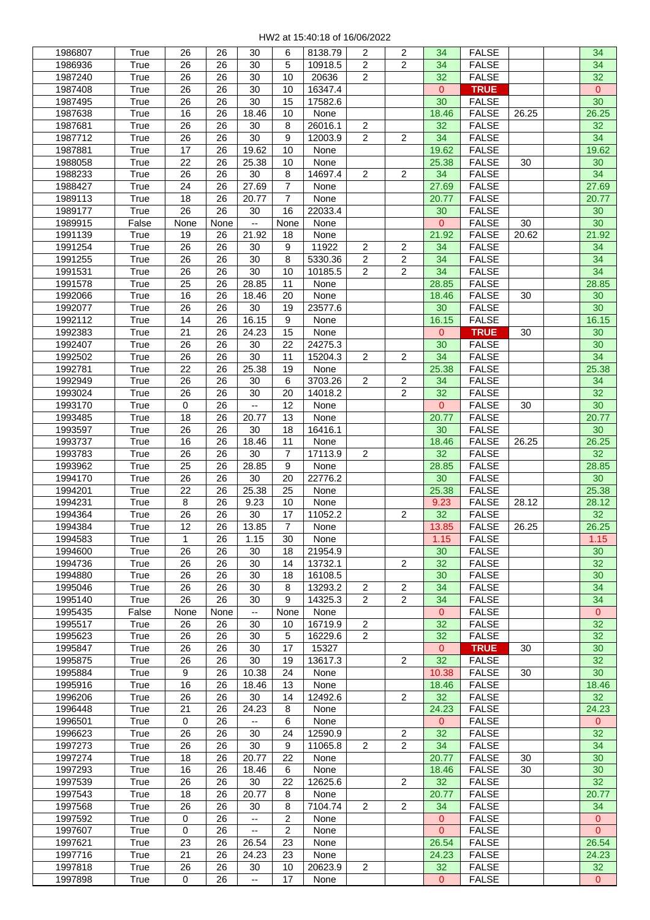| 1986807            | True         | 26               | 26       | 30                             | 6              | 8138.79          | 2              | 2                 | 34                   | <b>FALSE</b>                 |       | 34             |
|--------------------|--------------|------------------|----------|--------------------------------|----------------|------------------|----------------|-------------------|----------------------|------------------------------|-------|----------------|
| 1986936            | True         | 26               | 26       | 30                             | 5              | 10918.5          | $\overline{2}$ | $\overline{c}$    | 34                   | <b>FALSE</b>                 |       | 34             |
| 1987240            | True         | 26               | 26       | 30                             | 10             | 20636            | $\overline{2}$ |                   | 32                   | <b>FALSE</b>                 |       | 32             |
| 1987408            | True         | 26               | 26       | 30                             | 10             | 16347.4          |                |                   | $\overline{0}$       | <b>TRUE</b>                  |       | $\mathbf{0}$   |
| 1987495            | True         | 26               | 26       | 30                             | 15             | 17582.6          |                |                   | 30                   | <b>FALSE</b>                 |       | 30             |
| 1987638            | True         | 16               | 26       | 18.46                          | 10             | None             |                |                   | 18.46                | <b>FALSE</b>                 | 26.25 | 26.25          |
| 1987681            | True         | 26               | 26       | 30                             | 8              | 26016.1          | $\overline{2}$ |                   | 32                   | <b>FALSE</b>                 |       | 32             |
| 1987712            | True         | 26               | 26       | 30                             | 9              | 12003.9          | $\mathbf{2}$   | 2                 | 34                   | <b>FALSE</b>                 |       | 34             |
| 1987881            | True         | 17               | 26       | 19.62                          | 10             | None             |                |                   | 19.62                | <b>FALSE</b>                 |       | 19.62          |
| 1988058            | True         | 22               | 26       | 25.38                          | 10             | None             |                |                   | 25.38                | <b>FALSE</b>                 | 30    | 30             |
| 1988233            | True         | 26               | 26       | 30                             | 8              | 14697.4          | $\overline{2}$ | 2                 | 34                   | <b>FALSE</b>                 |       | 34             |
| 1988427            | True         | 24               | 26       | 27.69                          | $\overline{7}$ | None             |                |                   | 27.69                | <b>FALSE</b>                 |       | 27.69          |
| 1989113            | True         | 18               | 26       | 20.77                          | 7              | None             |                |                   | 20.77                | <b>FALSE</b>                 |       | 20.77          |
| 1989177            | True         | 26               | 26       | 30                             | 16             | 22033.4          |                |                   | 30                   | <b>FALSE</b>                 |       | 30             |
| 1989915            | False        | None             | None     | $- -$                          | None           | None             |                |                   | $\mathbf{0}$         | <b>FALSE</b>                 | 30    | 30             |
| 1991139            | True         | 19               | 26       | 21.92                          | 18             | None             |                |                   | 21.92                | <b>FALSE</b>                 | 20.62 | 21.92          |
| 1991254            | True         | 26               | 26       | 30                             | 9              | 11922            | $\overline{c}$ | $\mathbf{2}$      | 34                   | <b>FALSE</b>                 |       | 34             |
| 1991255            | True         | 26               | 26       | 30                             | 8              | 5330.36          | $\overline{c}$ | $\overline{c}$    | 34                   | <b>FALSE</b>                 |       | 34             |
| 1991531            | True         | 26               | 26       | 30                             | 10             | 10185.5          | $\overline{2}$ | $\overline{c}$    | 34                   | <b>FALSE</b>                 |       | 34             |
| 1991578            | True         | 25               | 26       | 28.85                          | 11             | None             |                |                   | 28.85                | <b>FALSE</b>                 |       | 28.85          |
| 1992066            | True         | 16               | 26       | 18.46                          | 20             | None             |                |                   | 18.46                | <b>FALSE</b>                 | 30    | 30             |
| 1992077            | True         | 26               | 26       | 30                             | 19             | 23577.6          |                |                   | 30                   | <b>FALSE</b>                 |       | 30             |
| 1992112            | True         | 14               | 26       | 16.15                          | 9              | None             |                |                   | 16.15                | <b>FALSE</b>                 |       | 16.15          |
| 1992383            | True         | 21               | 26       | 24.23                          | 15             | None             |                |                   | 0                    | <b>TRUE</b>                  | 30    | 30             |
| 1992407            | True         | 26               | 26       | 30                             | 22             | 24275.3          |                |                   | 30                   | <b>FALSE</b>                 |       | 30             |
| 1992502            | True         | 26               | 26       | 30                             | 11             | 15204.3          | $\overline{2}$ | $\overline{2}$    | 34                   | <b>FALSE</b>                 |       | 34             |
| 1992781            | True         | 22               | 26       | 25.38                          | 19             | None             |                |                   | 25.38                | <b>FALSE</b>                 |       | 25.38          |
|                    | True         | 26               | 26       | 30                             | 6              | 3703.26          | $\overline{2}$ |                   |                      | <b>FALSE</b>                 |       |                |
| 1992949            |              | 26               | 26       | 30                             | 20             |                  |                | 2<br>$\mathbf{2}$ | 34<br>32             |                              |       | 34<br>32       |
| 1993024            | True         |                  | 26       |                                | 12             | 14018.2          |                |                   | $\overline{0}$       | <b>FALSE</b>                 |       |                |
| 1993170            | True         | $\boldsymbol{0}$ |          |                                |                | None             |                |                   |                      | <b>FALSE</b>                 | 30    | 30             |
| 1993485            | True         | 18               | 26       | 20.77                          | 13             | None             |                |                   | 20.77                | <b>FALSE</b>                 |       | 20.77          |
| 1993597            | True         | 26               | 26       | 30                             | 18             | 16416.1          |                |                   | 30                   | <b>FALSE</b>                 |       | 30             |
| 1993737            | True         | 16               | 26       | 18.46                          | 11             | None             |                |                   | 18.46                | <b>FALSE</b>                 | 26.25 | 26.25          |
| 1993783            | True         | 26               | 26       | 30                             | 7              | 17113.9          | 2              |                   | 32                   | <b>FALSE</b>                 |       | 32             |
| 1993962            | True         | 25               | 26       | 28.85                          | 9              | None             |                |                   | 28.85                | <b>FALSE</b>                 |       | 28.85          |
| 1994170            | True         | 26               | 26       | 30                             | 20             | 22776.2          |                |                   | 30                   | <b>FALSE</b>                 |       | 30             |
| 1994201            | True         | 22               | 26       | 25.38                          | 25             | None             |                |                   | 25.38                | <b>FALSE</b>                 |       | 25.38          |
| 1994231            | True         | 8                | 26       | 9.23                           | 10             | None             |                |                   | 9.23                 | <b>FALSE</b>                 | 28.12 | 28.12          |
| 1994364            | True         | 26               | 26       | 30                             | 17             | 11052.2          |                | 2                 | 32                   | <b>FALSE</b>                 |       | 32             |
| 1994384            | True         | 12               | 26       | 13.85                          | $\overline{7}$ | None             |                |                   | 13.85                | <b>FALSE</b>                 | 26.25 | 26.25          |
| 1994583            | True         | 1                | 26       | 1.15                           | 30             | None             |                |                   | 1.15                 | <b>FALSE</b>                 |       | 1.15           |
| 1994600            | True         | 26               | 26       | 30                             | 18             | 21954.9          |                |                   | 30                   | <b>FALSE</b>                 |       | 30             |
| 1994736            | True         | 26               | 26       | 30                             | 14             | 13732.1          |                | $\overline{2}$    | 32                   | <b>FALSE</b>                 |       | 32             |
| 1994880            | True         | 26               | 26       | 30                             | 18             | 16108.5          |                |                   | 30                   | <b>FALSE</b>                 |       | 30             |
| 1995046            | True         | 26               | 26       | 30                             | 8              | 13293.2          | $\overline{2}$ | $\mathbf{2}$      | 34                   | <b>FALSE</b>                 |       | 34             |
| 1995140            | True         | 26               | 26       | 30                             | 9              | 14325.3          | 2              | $\overline{c}$    | 34                   | <b>FALSE</b>                 |       | 34             |
| 1995435            | False        | None             | None     | $\overline{\phantom{a}}$       | None           | None             |                |                   | $\overline{0}$       | <b>FALSE</b>                 |       | $\overline{0}$ |
| 1995517            | True         | 26               | 26       | 30                             | 10             | 16719.9          | $\overline{2}$ |                   | 32                   | <b>FALSE</b>                 |       | 32             |
| 1995623            | True<br>True | 26<br>26         | 26<br>26 | 30<br>30                       | 5<br>17        | 16229.6<br>15327 | $\overline{c}$ |                   | 32<br>$\overline{0}$ | <b>FALSE</b><br><b>TRUE</b>  |       | 32<br>30       |
| 1995847            |              |                  |          |                                |                |                  |                |                   |                      |                              | 30    |                |
| 1995875<br>1995884 | True<br>True | 26<br>9          | 26<br>26 | 30<br>10.38                    | 19<br>24       | 13617.3<br>None  |                | 2                 | 32<br>10.38          | <b>FALSE</b><br><b>FALSE</b> | 30    | 32<br>30       |
|                    |              |                  |          |                                |                |                  |                |                   |                      |                              |       |                |
| 1995916            | True         | 16               | 26       | 18.46                          | 13             | None             |                |                   | 18.46                | <b>FALSE</b>                 |       | 18.46          |
| 1996206            | True         | 26               | 26       | 30                             | 14             | 12492.6          |                | $\overline{2}$    | 32                   | <b>FALSE</b>                 |       | 32             |
| 1996448            | True         | 21               | 26       | 24.23                          | 8              | None             |                |                   | 24.23                | <b>FALSE</b>                 |       | 24.23          |
| 1996501            | True         | $\boldsymbol{0}$ | 26       | $\overline{\phantom{a}}$<br>30 | 6<br>24        | None             |                |                   | $\mathbf{0}$<br>32   | <b>FALSE</b>                 |       | 0              |
| 1996623            | True         | 26               | 26       |                                |                | 12590.9          |                | $\overline{2}$    |                      | <b>FALSE</b>                 |       | 32             |
| 1997273            | True<br>True | 26<br>18         | 26<br>26 | 30<br>20.77                    | 9<br>22        | 11065.8<br>None  | $\overline{2}$ | $\overline{c}$    | 34<br>20.77          | <b>FALSE</b><br><b>FALSE</b> | 30    | 34<br>30       |
| 1997274            | True         | 16               | 26       | 18.46                          | 6              | None             |                |                   | 18.46                | <b>FALSE</b>                 | 30    | 30             |
| 1997293<br>1997539 | True         | 26               | 26       | 30                             | 22             | 12625.6          |                | $\overline{2}$    | 32                   | <b>FALSE</b>                 |       | 32             |
|                    | True         | 18               | 26       | 20.77                          | 8              | None             |                |                   | 20.77                |                              |       |                |
| 1997543<br>1997568 | True         | 26               | 26       | 30                             | 8              | 7104.74          | $\overline{2}$ | 2                 | 34                   | <b>FALSE</b><br><b>FALSE</b> |       | 20.77<br>34    |
| 1997592            | True         | $\mathbf 0$      | 26       | $\overline{\phantom{a}}$       | $\overline{2}$ | None             |                |                   | 0                    | <b>FALSE</b>                 |       | $\mathbf{0}$   |
| 1997607            | True         | $\mathbf 0$      | 26       |                                | 2              | None             |                |                   | $\overline{0}$       | <b>FALSE</b>                 |       | $\overline{0}$ |
| 1997621            | True         | 23               | 26       | 26.54                          | 23             | None             |                |                   | 26.54                | <b>FALSE</b>                 |       | 26.54          |
|                    |              | 21               | 26       | 24.23                          | 23             | None             |                |                   |                      | <b>FALSE</b>                 |       |                |
| 1997716<br>1997818 | True<br>True | 26               | 26       | 30                             | 10             | 20623.9          | $\overline{c}$ |                   | 24.23<br>32          | <b>FALSE</b>                 |       | 24.23<br>32    |
| 1997898            | True         | $\boldsymbol{0}$ | 26       | $\overline{\phantom{a}}$       | 17             | None             |                |                   | $\mathbf{0}$         | <b>FALSE</b>                 |       | $\mathbf{0}$   |
|                    |              |                  |          |                                |                |                  |                |                   |                      |                              |       |                |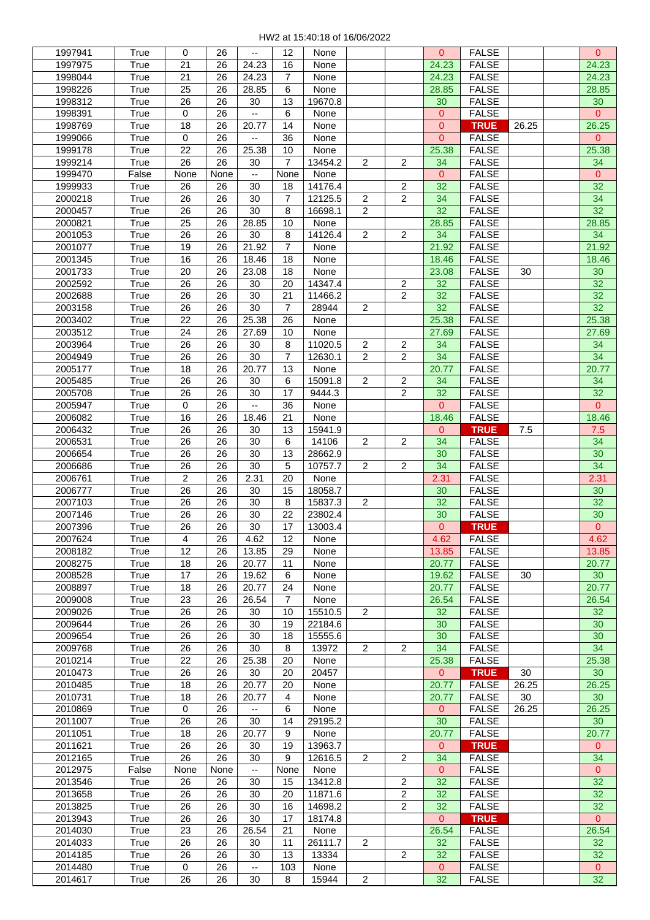| 1997941 | True  | 0                | 26   | $\overline{\phantom{a}}$ | 12             | None    |                |                | $\mathbf{0}$   | <b>FALSE</b> |       | $\overline{0}$  |
|---------|-------|------------------|------|--------------------------|----------------|---------|----------------|----------------|----------------|--------------|-------|-----------------|
| 1997975 | True  | 21               | 26   | 24.23                    | 16             | None    |                |                | 24.23          | <b>FALSE</b> |       | 24.23           |
| 1998044 | True  | 21               | 26   | 24.23                    | $\overline{7}$ | None    |                |                | 24.23          | <b>FALSE</b> |       | 24.23           |
| 1998226 | True  | 25               | 26   | 28.85                    | 6              | None    |                |                | 28.85          | <b>FALSE</b> |       | 28.85           |
|         |       |                  |      |                          |                |         |                |                |                |              |       |                 |
| 1998312 | True  | 26               | 26   | 30                       | 13             | 19670.8 |                |                | 30             | <b>FALSE</b> |       | 30              |
| 1998391 | True  | 0                | 26   | --                       | 6              | None    |                |                | 0              | <b>FALSE</b> |       | $\overline{0}$  |
| 1998769 | True  | 18               | 26   | 20.77                    | 14             | None    |                |                | 0              | <b>TRUE</b>  | 26.25 | 26.25           |
| 1999066 | True  | 0                | 26   | --                       | 36             | None    |                |                | $\overline{0}$ | <b>FALSE</b> |       | 0               |
| 1999178 | True  | 22               | 26   | 25.38                    | 10             | None    |                |                | 25.38          | <b>FALSE</b> |       | 25.38           |
| 1999214 |       | 26               | 26   | 30                       | 7              | 13454.2 | 2              | 2              | 34             | <b>FALSE</b> |       | 34              |
|         | True  |                  |      |                          |                |         |                |                |                |              |       |                 |
| 1999470 | False | None             | None | $\overline{\phantom{a}}$ | None           | None    |                |                | $\mathbf{0}$   | <b>FALSE</b> |       | 0               |
| 1999933 | True  | 26               | 26   | 30                       | 18             | 14176.4 |                | 2              | 32             | <b>FALSE</b> |       | 32              |
| 2000218 | True  | 26               | 26   | 30                       | $\overline{7}$ | 12125.5 | $\overline{2}$ | $\overline{2}$ | 34             | <b>FALSE</b> |       | 34              |
| 2000457 | True  | 26               | 26   | 30                       | 8              | 16698.1 | $\overline{2}$ |                | 32             | <b>FALSE</b> |       | 32              |
| 2000821 | True  | 25               | 26   | 28.85                    | 10             | None    |                |                | 28.85          | <b>FALSE</b> |       | 28.85           |
| 2001053 | True  | 26               | 26   | 30                       | 8              | 14126.4 | 2              | $\overline{c}$ | 34             | <b>FALSE</b> |       | 34              |
|         |       |                  |      |                          |                |         |                |                |                |              |       |                 |
| 2001077 | True  | 19               | 26   | 21.92                    | $\overline{7}$ | None    |                |                | 21.92          | <b>FALSE</b> |       | 21.92           |
| 2001345 | True  | 16               | 26   | 18.46                    | 18             | None    |                |                | 18.46          | <b>FALSE</b> |       | 18.46           |
| 2001733 | True  | 20               | 26   | 23.08                    | 18             | None    |                |                | 23.08          | <b>FALSE</b> | 30    | 30              |
| 2002592 | True  | 26               | 26   | 30                       | 20             | 14347.4 |                | $\mathbf{2}$   | 32             | <b>FALSE</b> |       | 32              |
| 2002688 | True  | 26               | 26   | 30                       | 21             | 11466.2 |                | 2              | 32             | <b>FALSE</b> |       | 32              |
|         | True  | 26               | 26   | 30                       | $\overline{7}$ | 28944   | $\overline{2}$ |                | 32             | <b>FALSE</b> |       | 32              |
| 2003158 |       |                  |      |                          |                |         |                |                |                |              |       |                 |
| 2003402 | True  | 22               | 26   | 25.38                    | 26             | None    |                |                | 25.38          | <b>FALSE</b> |       | 25.38           |
| 2003512 | True  | 24               | 26   | 27.69                    | 10             | None    |                |                | 27.69          | <b>FALSE</b> |       | 27.69           |
| 2003964 | True  | 26               | 26   | 30                       | 8              | 11020.5 | $\overline{2}$ | $\mathbf{2}$   | 34             | <b>FALSE</b> |       | 34              |
| 2004949 | True  | 26               | 26   | 30                       | $\overline{7}$ | 12630.1 | $\overline{c}$ | $\overline{c}$ | 34             | <b>FALSE</b> |       | 34              |
| 2005177 | True  | 18               | 26   | 20.77                    | 13             | None    |                |                | 20.77          | <b>FALSE</b> |       | 20.77           |
| 2005485 | True  | 26               | 26   | 30                       | 6              | 15091.8 | $\overline{2}$ | $\overline{c}$ | 34             | <b>FALSE</b> |       | 34              |
|         |       |                  |      |                          |                |         |                |                |                |              |       |                 |
| 2005708 | True  | 26               | 26   | 30                       | 17             | 9444.3  |                | 2              | 32             | <b>FALSE</b> |       | 32              |
| 2005947 | True  | $\mathsf 0$      | 26   | --                       | 36             | None    |                |                | $\overline{0}$ | <b>FALSE</b> |       | 0               |
| 2006082 | True  | 16               | 26   | 18.46                    | 21             | None    |                |                | 18.46          | <b>FALSE</b> |       | 18.46           |
| 2006432 | True  | 26               | 26   | 30                       | 13             | 15941.9 |                |                | $\mathbf{0}$   | <b>TRUE</b>  | 7.5   | 7.5             |
| 2006531 | True  | 26               | 26   | 30                       | 6              | 14106   | $\overline{c}$ | $\mathbf{2}$   | 34             | <b>FALSE</b> |       | 34              |
| 2006654 | True  | 26               | 26   | 30                       | 13             | 28662.9 |                |                | 30             | <b>FALSE</b> |       | 30              |
|         |       |                  |      |                          |                |         |                |                |                |              |       |                 |
| 2006686 | True  | 26               | 26   | 30                       | 5              | 10757.7 | $\overline{2}$ | 2              | 34             | <b>FALSE</b> |       | 34              |
| 2006761 | True  | $\sqrt{2}$       | 26   | 2.31                     | 20             | None    |                |                | 2.31           | <b>FALSE</b> |       | 2.31            |
| 2006777 | True  | 26               | 26   | 30                       | 15             | 18058.7 |                |                | 30             | <b>FALSE</b> |       | 30              |
| 2007103 | True  | 26               | 26   | 30                       | 8              | 15837.3 | $\overline{2}$ |                | 32             | <b>FALSE</b> |       | 32              |
| 2007146 | True  | 26               | 26   | 30                       | 22             | 23802.4 |                |                | 30             | <b>FALSE</b> |       | 30              |
| 2007396 | True  | 26               | 26   | 30                       | 17             | 13003.4 |                |                | $\mathbf{0}$   | <b>TRUE</b>  |       | $\overline{0}$  |
| 2007624 | True  | 4                | 26   | 4.62                     | 12             | None    |                |                | 4.62           | <b>FALSE</b> |       | 4.62            |
|         |       |                  |      |                          |                |         |                |                |                |              |       |                 |
| 2008182 | True  | 12               | 26   | 13.85                    | 29             | None    |                |                | 13.85          | <b>FALSE</b> |       | 13.85           |
| 2008275 | True  | 18               | 26   | 20.77                    | 11             | None    |                |                | 20.77          | <b>FALSE</b> |       | 20.77           |
| 2008528 | True  | 17               | 26   | 19.62                    | 6              | None    |                |                | 19.62          | <b>FALSE</b> | 30    | 30 <sub>o</sub> |
| 2008897 | True  | 18               | 26   | 20.77                    | 24             | None    |                |                | 20.77          | <b>FALSE</b> |       | 20.77           |
| 2009008 | True  | 23               | 26   | 26.54                    | $\overline{7}$ | None    |                |                | 26.54          | <b>FALSE</b> |       | 26.54           |
| 2009026 | True  | 26               | 26   | 30                       | 10             | 15510.5 | $\overline{2}$ |                | 32             | <b>FALSE</b> |       | 32              |
| 2009644 | True  | 26               | 26   | 30                       | 19             | 22184.6 |                |                | 30             | <b>FALSE</b> |       | 30              |
|         |       |                  |      |                          |                |         |                |                |                |              |       |                 |
| 2009654 | True  | 26               | 26   | 30                       | 18             | 15555.6 |                |                | 30             | <b>FALSE</b> |       | 30              |
| 2009768 | True  | 26               | 26   | 30                       | 8              | 13972   | $\overline{2}$ | 2              | 34             | <b>FALSE</b> |       | 34              |
| 2010214 | True  | 22               | 26   | 25.38                    | 20             | None    |                |                | 25.38          | <b>FALSE</b> |       | 25.38           |
| 2010473 | True  | 26               | 26   | 30                       | 20             | 20457   |                |                | 0              | <b>TRUE</b>  | 30    | 30              |
| 2010485 | True  | 18               | 26   | 20.77                    | 20             | None    |                |                | 20.77          | <b>FALSE</b> | 26.25 | 26.25           |
| 2010731 | True  | 18               | 26   | 20.77                    | 4              | None    |                |                | 20.77          | <b>FALSE</b> | 30    | 30              |
| 2010869 | True  | $\boldsymbol{0}$ | 26   | $\overline{\phantom{a}}$ | 6              | None    |                |                | 0              | <b>FALSE</b> | 26.25 | 26.25           |
|         |       |                  |      |                          |                | 29195.2 |                |                |                |              |       |                 |
| 2011007 | True  | 26               | 26   | 30                       | 14             |         |                |                | 30             | <b>FALSE</b> |       | 30              |
| 2011051 | True  | 18               | 26   | 20.77                    | 9              | None    |                |                | 20.77          | <b>FALSE</b> |       | 20.77           |
| 2011621 | True  | 26               | 26   | 30                       | 19             | 13963.7 |                |                | 0              | <b>TRUE</b>  |       | 0               |
| 2012165 | True  | 26               | 26   | 30                       | 9              | 12616.5 | 2              | $\overline{2}$ | 34             | <b>FALSE</b> |       | 34              |
| 2012975 | False | None             | None | $\overline{\phantom{a}}$ | None           | None    |                |                | $\mathbf{0}$   | <b>FALSE</b> |       | $\overline{0}$  |
| 2013546 | True  | 26               | 26   | 30                       | 15             | 13412.8 |                | $\overline{c}$ | 32             | <b>FALSE</b> |       | 32              |
| 2013658 | True  | 26               | 26   | 30                       | 20             | 11871.6 |                | 2              | 32             | <b>FALSE</b> |       | 32              |
|         |       |                  |      |                          |                |         |                |                |                |              |       |                 |
| 2013825 | True  | 26               | 26   | 30                       | 16             | 14698.2 |                | 2              | 32             | <b>FALSE</b> |       | 32              |
| 2013943 | True  | 26               | 26   | 30                       | 17             | 18174.8 |                |                | $\mathbf{0}$   | <b>TRUE</b>  |       | $\mathbf{0}$    |
| 2014030 | True  | 23               | 26   | 26.54                    | 21             | None    |                |                | 26.54          | <b>FALSE</b> |       | 26.54           |
| 2014033 | True  | 26               | 26   | 30                       | 11             | 26111.7 | 2              |                | 32             | <b>FALSE</b> |       | 32              |
| 2014185 | True  | 26               | 26   | 30                       | 13             | 13334   |                | 2              | 32             | <b>FALSE</b> |       | 32              |
| 2014480 | True  | $\mathbf 0$      | 26   | $\overline{\phantom{a}}$ | 103            | None    |                |                | $\overline{0}$ | <b>FALSE</b> |       | $\overline{0}$  |
| 2014617 | True  | 26               | 26   | 30                       | 8              | 15944   | $\overline{c}$ |                | 32             | <b>FALSE</b> |       | 32              |
|         |       |                  |      |                          |                |         |                |                |                |              |       |                 |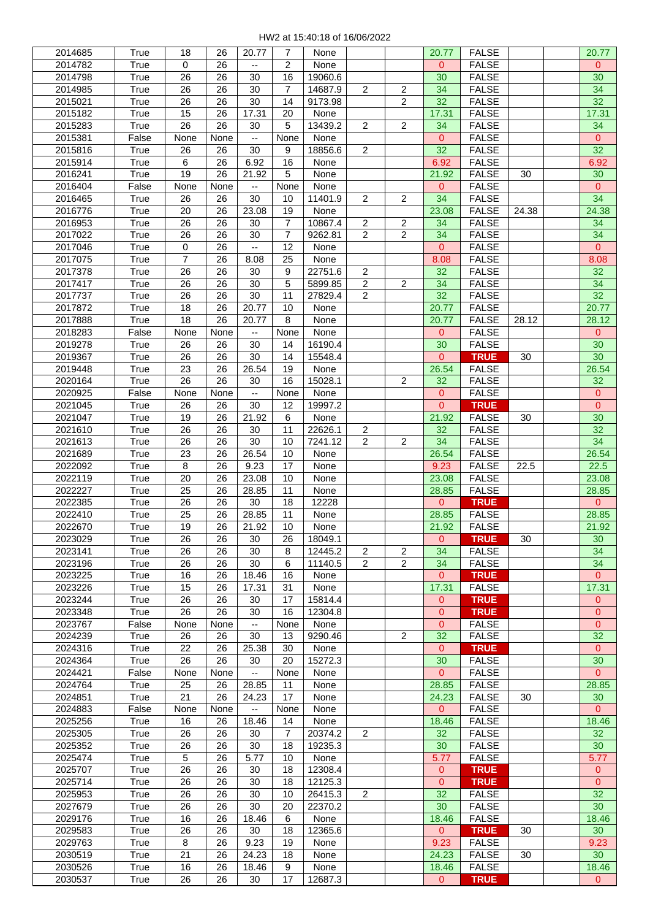| 2014685 | True  | 18             | 26   | 20.77                    | 7              | None    |                |                | 20.77          | <b>FALSE</b> |       | 20.77          |
|---------|-------|----------------|------|--------------------------|----------------|---------|----------------|----------------|----------------|--------------|-------|----------------|
| 2014782 | True  | 0              | 26   |                          | 2              | None    |                |                | 0              | <b>FALSE</b> |       | $\mathbf{0}$   |
| 2014798 | True  | 26             | 26   | 30                       | 16             | 19060.6 |                |                | 30             | <b>FALSE</b> |       | 30             |
| 2014985 | True  | 26             | 26   | 30                       | $\overline{7}$ | 14687.9 | 2              | $\overline{c}$ | 34             | <b>FALSE</b> |       | 34             |
| 2015021 | True  | 26             | 26   | 30                       | 14             | 9173.98 |                | $\overline{c}$ | 32             | <b>FALSE</b> |       | 32             |
| 2015182 | True  | 15             | 26   | 17.31                    | 20             | None    |                |                | 17.31          | <b>FALSE</b> |       | 17.31          |
|         |       |                |      |                          |                |         |                |                |                |              |       |                |
| 2015283 | True  | 26             | 26   | 30                       | 5              | 13439.2 | 2              | $\overline{c}$ | 34             | <b>FALSE</b> |       | 34             |
| 2015381 | False | None           | None | $\overline{\phantom{a}}$ | None           | None    |                |                | $\mathbf 0$    | <b>FALSE</b> |       | $\mathbf{0}$   |
| 2015816 | True  | 26             | 26   | 30                       | 9              | 18856.6 | $\overline{2}$ |                | 32             | <b>FALSE</b> |       | 32             |
| 2015914 | True  | 6              | 26   | 6.92                     | 16             | None    |                |                | 6.92           | <b>FALSE</b> |       | 6.92           |
| 2016241 | True  | 19             | 26   | 21.92                    | 5              | None    |                |                | 21.92          | <b>FALSE</b> | 30    | 30             |
| 2016404 | False | None           | None | $\overline{\phantom{a}}$ | None           | None    |                |                | 0              | <b>FALSE</b> |       | $\mathbf{0}$   |
| 2016465 | True  | 26             | 26   | 30                       | 10             | 11401.9 | $\overline{c}$ | 2              | 34             | <b>FALSE</b> |       | 34             |
|         | True  | 20             | 26   | 23.08                    | 19             | None    |                |                | 23.08          | <b>FALSE</b> | 24.38 | 24.38          |
| 2016776 |       |                |      |                          |                |         |                |                |                |              |       |                |
| 2016953 | True  | 26             | 26   | 30                       | $\overline{7}$ | 10867.4 | 2              | 2              | 34             | <b>FALSE</b> |       | 34             |
| 2017022 | True  | 26             | 26   | 30                       | $\overline{7}$ | 9262.81 | $\overline{2}$ | 2              | 34             | <b>FALSE</b> |       | 34             |
| 2017046 | True  | 0              | 26   | $\overline{\phantom{a}}$ | 12             | None    |                |                | $\overline{0}$ | <b>FALSE</b> |       | $\mathbf{0}$   |
| 2017075 | True  | $\overline{7}$ | 26   | 8.08                     | 25             | None    |                |                | 8.08           | <b>FALSE</b> |       | 8.08           |
| 2017378 | True  | 26             | 26   | 30                       | 9              | 22751.6 | $\overline{c}$ |                | 32             | <b>FALSE</b> |       | 32             |
| 2017417 | True  | 26             | 26   | 30                       | 5              | 5899.85 | $\overline{c}$ | $\overline{c}$ | 34             | <b>FALSE</b> |       | 34             |
| 2017737 | True  | 26             | 26   | 30                       | 11             | 27829.4 | $\overline{2}$ |                | 32             | <b>FALSE</b> |       | 32             |
| 2017872 | True  | 18             | 26   | 20.77                    | 10             | None    |                |                | 20.77          | <b>FALSE</b> |       | 20.77          |
| 2017888 | True  | 18             | 26   | 20.77                    | 8              | None    |                |                | 20.77          | <b>FALSE</b> | 28.12 | 28.12          |
|         |       |                |      |                          |                |         |                |                |                |              |       |                |
| 2018283 | False | None           | None | $\overline{\phantom{a}}$ | None           | None    |                |                | $\mathbf 0$    | <b>FALSE</b> |       | $\mathbf{0}$   |
| 2019278 | True  | 26             | 26   | 30                       | 14             | 16190.4 |                |                | 30             | <b>FALSE</b> |       | 30             |
| 2019367 | True  | 26             | 26   | 30                       | 14             | 15548.4 |                |                | $\mathbf{0}$   | <b>TRUE</b>  | 30    | 30             |
| 2019448 | True  | 23             | 26   | 26.54                    | 19             | None    |                |                | 26.54          | <b>FALSE</b> |       | 26.54          |
| 2020164 | True  | 26             | 26   | 30                       | 16             | 15028.1 |                | $\overline{2}$ | 32             | <b>FALSE</b> |       | 32             |
| 2020925 | False | None           | None | $\overline{\phantom{a}}$ | None           | None    |                |                | $\mathbf 0$    | <b>FALSE</b> |       | $\mathbf 0$    |
| 2021045 | True  | 26             | 26   | 30                       | 12             | 19997.2 |                |                | $\mathbf 0$    | <b>TRUE</b>  |       | $\mathbf{0}$   |
| 2021047 | True  | 19             | 26   | 21.92                    | 6              | None    |                |                | 21.92          | <b>FALSE</b> | 30    | 30             |
| 2021610 | True  | 26             | 26   | 30                       | 11             | 22626.1 | 2              |                | 32             | <b>FALSE</b> |       | 32             |
|         |       |                |      |                          |                |         |                |                |                |              |       |                |
| 2021613 | True  | 26             | 26   | 30                       | 10             | 7241.12 | $\overline{c}$ | $\overline{2}$ | 34             | <b>FALSE</b> |       | 34             |
| 2021689 | True  | 23             | 26   | 26.54                    | 10             | None    |                |                | 26.54          | <b>FALSE</b> |       | 26.54          |
| 2022092 | True  | 8              | 26   | 9.23                     | 17             | None    |                |                | 9.23           | <b>FALSE</b> | 22.5  | 22.5           |
| 2022119 | True  | 20             | 26   | 23.08                    | 10             | None    |                |                | 23.08          | <b>FALSE</b> |       | 23.08          |
| 2022227 | True  | 25             | 26   | 28.85                    | 11             | None    |                |                | 28.85          | <b>FALSE</b> |       | 28.85          |
| 2022385 | True  | 26             | 26   | 30                       | 18             | 12228   |                |                | $\overline{0}$ | <b>TRUE</b>  |       | $\overline{0}$ |
| 2022410 | True  | 25             | 26   | 28.85                    | 11             | None    |                |                | 28.85          | <b>FALSE</b> |       | 28.85          |
| 2022670 | True  | 19             | 26   | 21.92                    | 10             | None    |                |                | 21.92          | <b>FALSE</b> |       | 21.92          |
| 2023029 | True  | 26             | 26   | 30                       | 26             | 18049.1 |                |                | 0              | <b>TRUE</b>  | 30    | 30             |
| 2023141 | True  | 26             | 26   | 30                       | 8              | 12445.2 | $\overline{2}$ | 2              | 34             | <b>FALSE</b> |       | 34             |
|         |       |                |      |                          |                |         |                |                |                |              |       |                |
| 2023196 | True  | 26             | 26   | 30                       | 6              | 11140.5 | 2              | 2              | 34             | <b>FALSE</b> |       | 34             |
| 2023225 | True  | 16             | 26   | 18.46                    | 16             | None    |                |                | 0              | <b>TRUE</b>  |       | $\mathbf{0}$   |
| 2023226 | True  | 15             | 26   | 17.31                    | 31             | None    |                |                | 17.31          | <b>FALSE</b> |       | 17.31          |
| 2023244 | True  | 26             | 26   | 30                       | 17             | 15814.4 |                |                | 0              | <b>TRUE</b>  |       | $\mathbf{0}$   |
| 2023348 | True  | 26             | 26   | 30                       | 16             | 12304.8 |                |                | $\mathbf{0}$   | <b>TRUE</b>  |       | $\overline{0}$ |
| 2023767 | False | None           | None | $\overline{\phantom{a}}$ | None           | None    |                |                | $\mathbf{0}$   | <b>FALSE</b> |       | $\mathbf{0}$   |
| 2024239 | True  | 26             | 26   | 30                       | 13             | 9290.46 |                | $\overline{2}$ | 32             | <b>FALSE</b> |       | 32             |
| 2024316 | True  | 22             | 26   | 25.38                    | 30             | None    |                |                | $\mathbf 0$    | <b>TRUE</b>  |       | $\mathbf{0}$   |
| 2024364 | True  | 26             | 26   | 30                       | 20             | 15272.3 |                |                | 30             | <b>FALSE</b> |       | 30             |
| 2024421 | False | None           | None | $\overline{\phantom{a}}$ | None           | None    |                |                | $\mathbf{0}$   | <b>FALSE</b> |       | $\overline{0}$ |
|         |       |                |      |                          |                |         |                |                |                |              |       |                |
| 2024764 | True  | 25             | 26   | 28.85                    | 11             | None    |                |                | 28.85          | <b>FALSE</b> |       | 28.85          |
| 2024851 | True  | 21             | 26   | 24.23                    | 17             | None    |                |                | 24.23          | <b>FALSE</b> | 30    | 30             |
| 2024883 | False | None           | None | $\overline{\phantom{a}}$ | None           | None    |                |                | 0              | <b>FALSE</b> |       | $\overline{0}$ |
| 2025256 | True  | 16             | 26   | 18.46                    | 14             | None    |                |                | 18.46          | <b>FALSE</b> |       | 18.46          |
| 2025305 | True  | 26             | 26   | 30                       | 7              | 20374.2 | 2              |                | 32             | <b>FALSE</b> |       | 32             |
| 2025352 | True  | 26             | 26   | 30                       | 18             | 19235.3 |                |                | 30             | <b>FALSE</b> |       | 30             |
| 2025474 | True  | 5              | 26   | 5.77                     | 10             | None    |                |                | 5.77           | <b>FALSE</b> |       | 5.77           |
| 2025707 | True  | 26             | 26   | 30                       | 18             | 12308.4 |                |                | $\mathbf 0$    | <b>TRUE</b>  |       | $\mathbf{0}$   |
| 2025714 | True  | 26             | 26   | 30                       | 18             | 12125.3 |                |                | $\overline{0}$ | <b>TRUE</b>  |       | $\overline{0}$ |
| 2025953 | True  | 26             |      | 30                       | 10             | 26415.3 | $\overline{2}$ |                | 32             | <b>FALSE</b> |       | 32             |
|         |       |                | 26   |                          |                |         |                |                |                |              |       |                |
| 2027679 | True  | 26             | 26   | 30                       | 20             | 22370.2 |                |                | 30             | <b>FALSE</b> |       | 30             |
| 2029176 | True  | 16             | 26   | 18.46                    | 6              | None    |                |                | 18.46          | <b>FALSE</b> |       | 18.46          |
| 2029583 | True  | 26             | 26   | 30                       | 18             | 12365.6 |                |                | $\mathbf{0}$   | <b>TRUE</b>  | 30    | 30             |
| 2029763 | True  | 8              | 26   | 9.23                     | 19             | None    |                |                | 9.23           | <b>FALSE</b> |       | 9.23           |
| 2030519 | True  | 21             | 26   | 24.23                    | 18             | None    |                |                | 24.23          | <b>FALSE</b> | 30    | 30             |
| 2030526 | True  | 16             | 26   | 18.46                    | 9              | None    |                |                | 18.46          | <b>FALSE</b> |       | 18.46          |
| 2030537 | True  | 26             | 26   | 30                       | 17             | 12687.3 |                |                | $\mathbf{0}$   | <b>TRUE</b>  |       | $\overline{0}$ |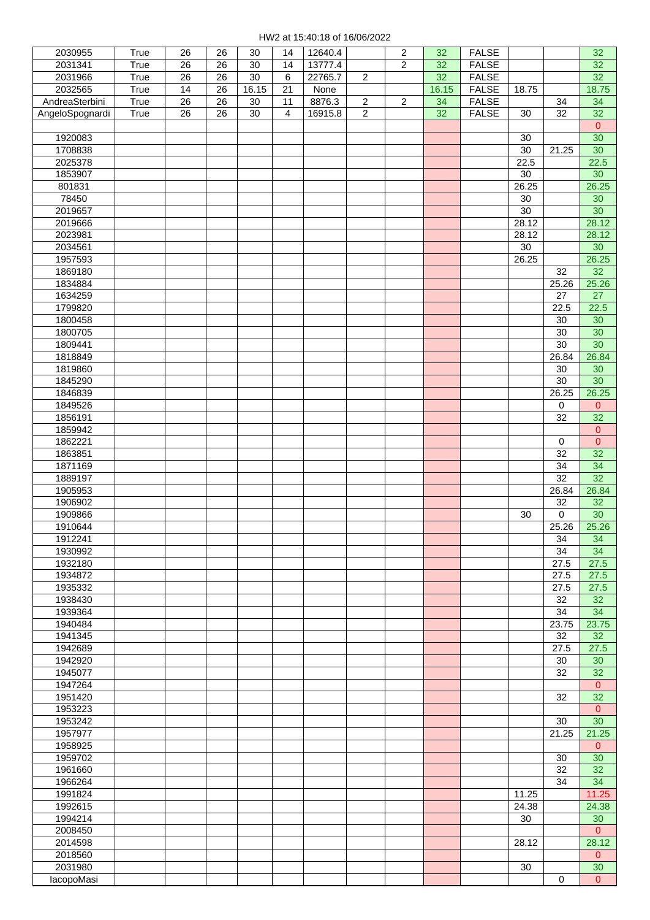| 2030955           | True | 26 | 26 | 30     | 14 | 12640.4 |                | $\sqrt{2}$     | 32    | <b>FALSE</b> |        |                     | 32              |
|-------------------|------|----|----|--------|----|---------|----------------|----------------|-------|--------------|--------|---------------------|-----------------|
| 2031341           | True | 26 | 26 | 30     | 14 | 13777.4 |                | $\overline{c}$ | 32    | <b>FALSE</b> |        |                     | 32              |
| 2031966           | True | 26 | 26 | 30     | 6  | 22765.7 | $\overline{c}$ |                | 32    | <b>FALSE</b> |        |                     | 32              |
| 2032565           | True | 14 | 26 | 16.15  | 21 | None    |                |                | 16.15 | <b>FALSE</b> | 18.75  |                     | 18.75           |
| AndreaSterbini    | True | 26 | 26 | $30\,$ | 11 | 8876.3  | $\overline{c}$ | $\sqrt{2}$     | 34    | <b>FALSE</b> |        | 34                  | 34              |
| AngeloSpognardi   | True | 26 | 26 | $30\,$ | 4  | 16915.8 | $\overline{2}$ |                | 32    | <b>FALSE</b> | 30     | 32                  | 32              |
|                   |      |    |    |        |    |         |                |                |       |              |        |                     | $\mathbf{0}$    |
| 1920083           |      |    |    |        |    |         |                |                |       |              | 30     |                     | $\overline{30}$ |
| 1708838           |      |    |    |        |    |         |                |                |       |              | 30     | 21.25               | 30              |
| 2025378           |      |    |    |        |    |         |                |                |       |              | 22.5   |                     | 22.5            |
| 1853907           |      |    |    |        |    |         |                |                |       |              | 30     |                     | 30              |
| 801831            |      |    |    |        |    |         |                |                |       |              | 26.25  |                     | 26.25           |
| 78450             |      |    |    |        |    |         |                |                |       |              | 30     |                     | 30              |
| 2019657           |      |    |    |        |    |         |                |                |       |              | 30     |                     | 30              |
| 2019666           |      |    |    |        |    |         |                |                |       |              | 28.12  |                     | 28.12           |
| 2023981           |      |    |    |        |    |         |                |                |       |              | 28.12  |                     | 28.12           |
| 2034561           |      |    |    |        |    |         |                |                |       |              | $30\,$ |                     | 30              |
| 1957593           |      |    |    |        |    |         |                |                |       |              | 26.25  |                     | 26.25           |
| 1869180           |      |    |    |        |    |         |                |                |       |              |        | 32                  | $\overline{32}$ |
| 1834884           |      |    |    |        |    |         |                |                |       |              |        | 25.26               | 25.26           |
| 1634259           |      |    |    |        |    |         |                |                |       |              |        | 27                  | 27              |
| 1799820           |      |    |    |        |    |         |                |                |       |              |        | 22.5                | 22.5            |
| 1800458           |      |    |    |        |    |         |                |                |       |              |        | 30                  | 30              |
| 1800705           |      |    |    |        |    |         |                |                |       |              |        | 30                  | 30              |
| 1809441           |      |    |    |        |    |         |                |                |       |              |        | $\overline{30}$     | $\overline{30}$ |
| 1818849           |      |    |    |        |    |         |                |                |       |              |        | 26.84               | 26.84           |
| 1819860           |      |    |    |        |    |         |                |                |       |              |        | 30                  | 30              |
| 1845290           |      |    |    |        |    |         |                |                |       |              |        | 30                  | 30              |
| 1846839           |      |    |    |        |    |         |                |                |       |              |        | 26.25               | 26.25           |
| 1849526           |      |    |    |        |    |         |                |                |       |              |        | $\mathbf 0$         | $\mathbf{0}$    |
| 1856191           |      |    |    |        |    |         |                |                |       |              |        | 32                  | 32              |
| 1859942           |      |    |    |        |    |         |                |                |       |              |        |                     | $\mathbf{0}$    |
| 1862221           |      |    |    |        |    |         |                |                |       |              |        | $\mathsf{O}\xspace$ | $\mathbf{0}$    |
| 1863851           |      |    |    |        |    |         |                |                |       |              |        | 32                  | $\overline{32}$ |
| 1871169           |      |    |    |        |    |         |                |                |       |              |        | 34                  | $\overline{34}$ |
| 1889197           |      |    |    |        |    |         |                |                |       |              |        | 32                  | 32              |
| 1905953           |      |    |    |        |    |         |                |                |       |              |        | 26.84               | 26.84           |
| 1906902           |      |    |    |        |    |         |                |                |       |              |        | 32                  | 32              |
| 1909866           |      |    |    |        |    |         |                |                |       |              | 30     | 0                   | 30              |
| 1910644           |      |    |    |        |    |         |                |                |       |              |        | 25.26               | 25.26           |
| 1912241           |      |    |    |        |    |         |                |                |       |              |        | 34                  | 34              |
| 1930992           |      |    |    |        |    |         |                |                |       |              |        | 34                  | 34              |
| 1932180           |      |    |    |        |    |         |                |                |       |              |        | 27.5                | 27.5            |
| 1934872           |      |    |    |        |    |         |                |                |       |              |        | 27.5                | 27.5            |
| 1935332           |      |    |    |        |    |         |                |                |       |              |        | 27.5                | 27.5            |
| 1938430           |      |    |    |        |    |         |                |                |       |              |        | 32                  | 32              |
| 1939364           |      |    |    |        |    |         |                |                |       |              |        | 34                  | 34              |
| 1940484           |      |    |    |        |    |         |                |                |       |              |        | 23.75               | 23.75           |
| 1941345           |      |    |    |        |    |         |                |                |       |              |        | 32                  | 32              |
| 1942689           |      |    |    |        |    |         |                |                |       |              |        | 27.5                | 27.5            |
| 1942920           |      |    |    |        |    |         |                |                |       |              |        | 30                  | 30              |
| 1945077           |      |    |    |        |    |         |                |                |       |              |        | 32                  | 32              |
| 1947264           |      |    |    |        |    |         |                |                |       |              |        |                     | $\mathbf{0}$    |
| 1951420           |      |    |    |        |    |         |                |                |       |              |        | 32                  | 32              |
| 1953223           |      |    |    |        |    |         |                |                |       |              |        |                     | $\mathbf{0}$    |
| 1953242           |      |    |    |        |    |         |                |                |       |              |        | 30                  | $\overline{30}$ |
| 1957977           |      |    |    |        |    |         |                |                |       |              |        | 21.25               | 21.25           |
| 1958925           |      |    |    |        |    |         |                |                |       |              |        |                     | $\mathbf{0}$    |
| 1959702           |      |    |    |        |    |         |                |                |       |              |        | 30                  | 30              |
| 1961660           |      |    |    |        |    |         |                |                |       |              |        | 32                  | 32              |
| 1966264           |      |    |    |        |    |         |                |                |       |              |        | 34                  | 34              |
| 1991824           |      |    |    |        |    |         |                |                |       |              | 11.25  |                     | 11.25           |
| 1992615           |      |    |    |        |    |         |                |                |       |              | 24.38  |                     | 24.38           |
| 1994214           |      |    |    |        |    |         |                |                |       |              | 30     |                     | 30              |
| 2008450           |      |    |    |        |    |         |                |                |       |              |        |                     | $\overline{0}$  |
| 2014598           |      |    |    |        |    |         |                |                |       |              | 28.12  |                     | 28.12           |
| 2018560           |      |    |    |        |    |         |                |                |       |              |        |                     | $\overline{0}$  |
| 2031980           |      |    |    |        |    |         |                |                |       |              | 30     |                     | 30              |
| <b>lacopoMasi</b> |      |    |    |        |    |         |                |                |       |              |        | $\Omega$            | $\overline{0}$  |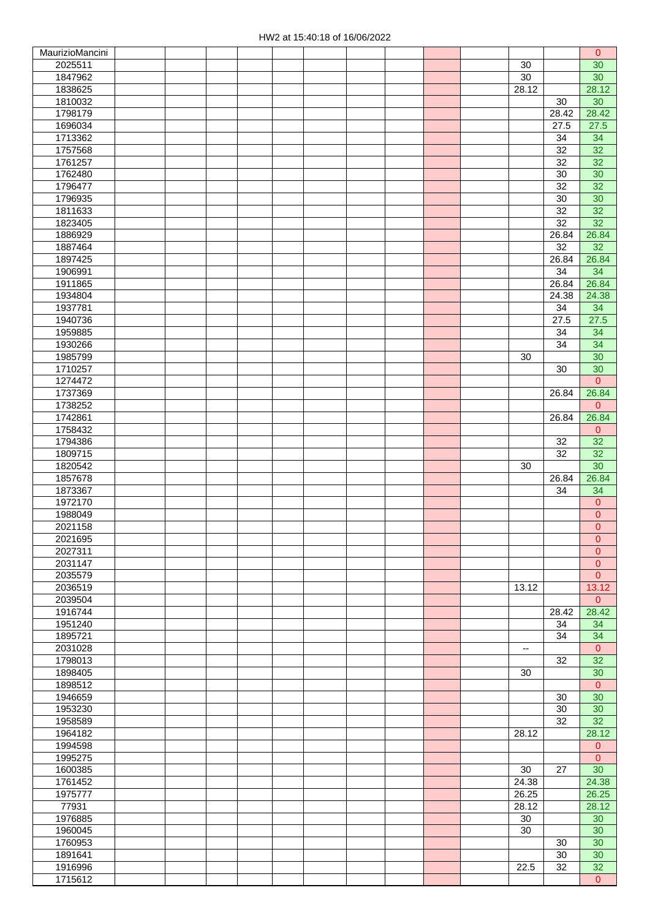| MaurizioMancini    |  |  |  |  |  |                          |                 | $\mathbf{0}$            |
|--------------------|--|--|--|--|--|--------------------------|-----------------|-------------------------|
| 2025511            |  |  |  |  |  | 30                       |                 | 30                      |
| 1847962            |  |  |  |  |  | 30                       |                 | 30                      |
| 1838625            |  |  |  |  |  | 28.12                    |                 | 28.12                   |
| 1810032            |  |  |  |  |  |                          | 30              | 30                      |
| 1798179            |  |  |  |  |  |                          | 28.42           | 28.42                   |
| 1696034            |  |  |  |  |  |                          | 27.5            | 27.5                    |
| 1713362            |  |  |  |  |  |                          | 34              | 34                      |
| 1757568            |  |  |  |  |  |                          | 32              | 32                      |
| 1761257            |  |  |  |  |  |                          | 32              | 32                      |
| 1762480            |  |  |  |  |  |                          | 30              | 30                      |
| 1796477            |  |  |  |  |  |                          | 32              | 32                      |
| 1796935            |  |  |  |  |  |                          | 30              | 30                      |
| 1811633            |  |  |  |  |  |                          | $\overline{32}$ | 32                      |
| 1823405            |  |  |  |  |  |                          | 32              | 32                      |
| 1886929            |  |  |  |  |  |                          | 26.84           | 26.84                   |
| 1887464            |  |  |  |  |  |                          | 32              | 32                      |
| 1897425            |  |  |  |  |  |                          | 26.84           | 26.84                   |
| 1906991            |  |  |  |  |  |                          | 34              | 34                      |
| 1911865            |  |  |  |  |  |                          | 26.84           | 26.84                   |
| 1934804            |  |  |  |  |  |                          | 24.38           | 24.38                   |
| 1937781            |  |  |  |  |  |                          | 34              | 34                      |
| 1940736            |  |  |  |  |  |                          | 27.5            | 27.5                    |
| 1959885            |  |  |  |  |  |                          | 34              | 34                      |
| 1930266            |  |  |  |  |  |                          | 34              | 34                      |
| 1985799            |  |  |  |  |  | 30                       |                 | 30                      |
| 1710257            |  |  |  |  |  |                          | 30              | 30                      |
| 1274472            |  |  |  |  |  |                          |                 | $\overline{0}$          |
| 1737369            |  |  |  |  |  |                          | 26.84           | 26.84                   |
| 1738252            |  |  |  |  |  |                          |                 | $\overline{0}$          |
| 1742861            |  |  |  |  |  |                          | 26.84           | 26.84                   |
| 1758432            |  |  |  |  |  |                          |                 | $\overline{0}$          |
| 1794386            |  |  |  |  |  |                          | 32              | 32                      |
| 1809715            |  |  |  |  |  |                          | $\overline{32}$ | 32                      |
| 1820542<br>1857678 |  |  |  |  |  | 30                       |                 | 30                      |
|                    |  |  |  |  |  |                          | 26.84           | 26.84                   |
| 1873367<br>1972170 |  |  |  |  |  |                          | 34              | 34<br>$\overline{0}$    |
| 1988049            |  |  |  |  |  |                          |                 | $\mathbf{0}$            |
| 2021158            |  |  |  |  |  |                          |                 | $\overline{0}$          |
| 2021695            |  |  |  |  |  |                          |                 | $\overline{\mathbf{0}}$ |
| 2027311            |  |  |  |  |  |                          |                 | $\mathbf{0}$            |
| 2031147            |  |  |  |  |  |                          |                 | $\mathbf{0}$            |
| 2035579            |  |  |  |  |  |                          |                 | $\pmb{0}$               |
| 2036519            |  |  |  |  |  | 13.12                    |                 | 13.12                   |
| 2039504            |  |  |  |  |  |                          |                 | $\overline{0}$          |
| 1916744            |  |  |  |  |  |                          | 28.42           | 28.42                   |
| 1951240            |  |  |  |  |  |                          | 34              | 34                      |
| 1895721            |  |  |  |  |  |                          | 34              | 34                      |
| 2031028            |  |  |  |  |  | $\overline{\phantom{a}}$ |                 | $\mathbf{0}$            |
| 1798013            |  |  |  |  |  |                          | 32              | 32                      |
| 1898405            |  |  |  |  |  | 30                       |                 | 30                      |
| 1898512            |  |  |  |  |  |                          |                 | $\overline{0}$          |
| 1946659            |  |  |  |  |  |                          | 30              | 30                      |
| 1953230            |  |  |  |  |  |                          | 30              | 30                      |
| 1958589            |  |  |  |  |  |                          | 32              | $\overline{32}$         |
| 1964182            |  |  |  |  |  | 28.12                    |                 | 28.12                   |
| 1994598            |  |  |  |  |  |                          |                 | $\mathbf 0$             |
| 1995275            |  |  |  |  |  |                          |                 | $\mathbf{0}$            |
| 1600385            |  |  |  |  |  | 30                       | 27              | 30                      |
| 1761452            |  |  |  |  |  | 24.38                    |                 | 24.38                   |
| 1975777            |  |  |  |  |  | 26.25                    |                 | 26.25                   |
| 77931              |  |  |  |  |  | 28.12                    |                 | 28.12                   |
| 1976885            |  |  |  |  |  | 30                       |                 | 30                      |
| 1960045            |  |  |  |  |  | 30                       |                 | 30                      |
| 1760953            |  |  |  |  |  |                          | 30              | 30                      |
| 1891641            |  |  |  |  |  |                          | 30              | 30                      |
| 1916996<br>1715612 |  |  |  |  |  | 22.5                     | 32              | 32                      |
|                    |  |  |  |  |  |                          |                 | $\Omega$                |